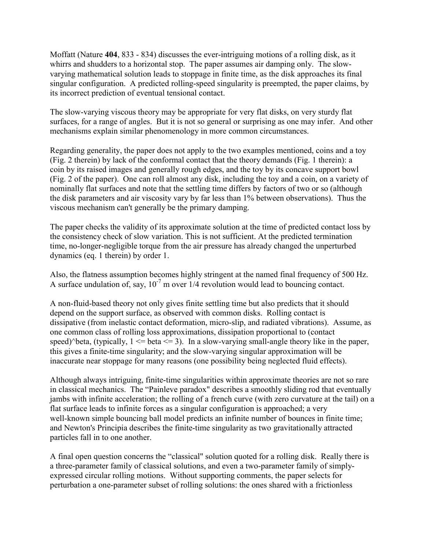Moffatt (Nature **404**, 833 - 834) discusses the ever-intriguing motions of a rolling disk, as it whirrs and shudders to a horizontal stop. The paper assumes air damping only. The slowvarying mathematical solution leads to stoppage in finite time, as the disk approaches its final singular configuration. A predicted rolling-speed singularity is preempted, the paper claims, by its incorrect prediction of eventual tensional contact.

The slow-varying viscous theory may be appropriate for very flat disks, on very sturdy flat surfaces, for a range of angles. But it is not so general or surprising as one may infer. And other mechanisms explain similar phenomenology in more common circumstances.

Regarding generality, the paper does not apply to the two examples mentioned, coins and a toy (Fig. 2 therein) by lack of the conformal contact that the theory demands (Fig. 1 therein): a coin by its raised images and generally rough edges, and the toy by its concave support bowl (Fig. 2 of the paper). One can roll almost any disk, including the toy and a coin, on a variety of nominally flat surfaces and note that the settling time differs by factors of two or so (although the disk parameters and air viscosity vary by far less than 1% between observations). Thus the viscous mechanism can't generally be the primary damping.

The paper checks the validity of its approximate solution at the time of predicted contact loss by the consistency check of slow variation. This is not sufficient. At the predicted termination time, no-longer-negligible torque from the air pressure has already changed the unperturbed dynamics (eq. 1 therein) by order 1.

Also, the flatness assumption becomes highly stringent at the named final frequency of 500 Hz. A surface undulation of, say,  $10^{-7}$  m over  $1/4$  revolution would lead to bouncing contact.

A non-fluid-based theory not only gives finite settling time but also predicts that it should depend on the support surface, as observed with common disks. Rolling contact is dissipative (from inelastic contact deformation, micro-slip, and radiated vibrations). Assume, as one common class of rolling loss approximations, dissipation proportional to (contact speed)^beta, (typically,  $1 \le$  beta  $\le$  3). In a slow-varying small-angle theory like in the paper, this gives a finite-time singularity; and the slow-varying singular approximation will be inaccurate near stoppage for many reasons (one possibility being neglected fluid effects).

Although always intriguing, finite-time singularities within approximate theories are not so rare in classical mechanics. The "Painleve paradox" describes a smoothly sliding rod that eventually jambs with infinite acceleration; the rolling of a french curve (with zero curvature at the tail) on a flat surface leads to infinite forces as a singular configuration is approached; a very well-known simple bouncing ball model predicts an infinite number of bounces in finite time; and Newton's Principia describes the finite-time singularity as two gravitationally attracted particles fall in to one another.

A final open question concerns the "classical" solution quoted for a rolling disk. Really there is a three-parameter family of classical solutions, and even a two-parameter family of simplyexpressed circular rolling motions. Without supporting comments, the paper selects for perturbation a one-parameter subset of rolling solutions: the ones shared with a frictionless